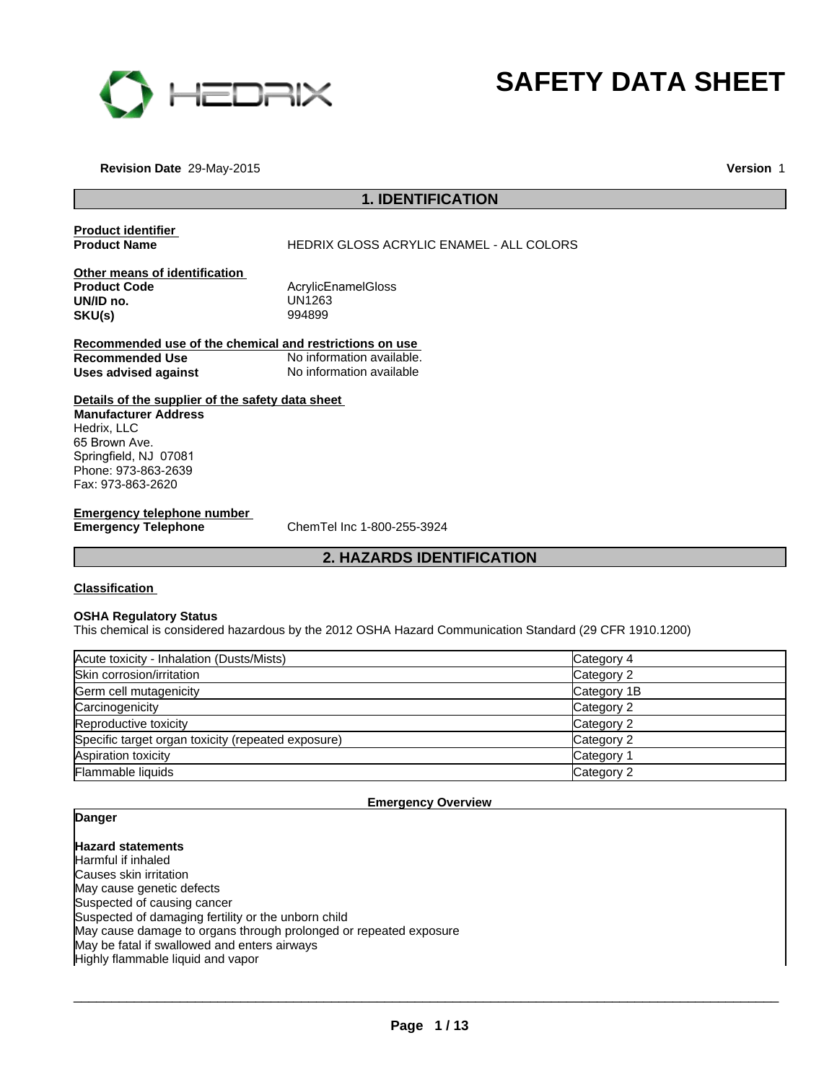

# **1. IDENTIFICATION<br>
1. IDENTIFICATION<br>
SS ACRYLIC ENAMEL - ALL COLORS SAFETY DATA SHEET**

**Revision Date** 29-May-2015

**Version** 1

**Product identifier** 

**Product Name The Example 20 HEDRIX GLOSS ACRYLIC ENAMEL - ALL COLORS** 

**Other means of identification**<br>**Product Code UN/ID no.** UN1263  $SKU(s)$ 

AcrylicEnamelGloss<br>UN1263

**Recommended use of the chemical and restrictions on use Recommended Use** No information available. **Uses advised against** No information available **2. Analysis on use**<br>Dimation available.<br>Dimation available<br>**2. HAZARDS IDENTIFICATION** 

**Details of the supplier of the safety data sheet Manufacturer Address** Hedrix, LLC 65 Brown Ave. Springfield, NJ 07081 Phone: 973-863-2639 Fax: 973-863-2620

**Emergency telephone number<br>Emergency Telephone** 

**Emergency Telephone** ChemTel Inc 1-800-255-3924

#### **Classification**

#### **OSHA Regulatory Status**

This chemical is considered hazardous by the 2012 OSHA Hazard Communication Standard (29 CFR 1910.1200)

| Acute toxicity - Inhalation (Dusts/Mists)          | Category 4            |
|----------------------------------------------------|-----------------------|
| Skin corrosion/irritation                          | Category 2            |
| Germ cell mutagenicity                             | Category 1B           |
| Carcinogenicity                                    | Category 2            |
| Reproductive toxicity                              | Category 2            |
| Specific target organ toxicity (repeated exposure) | Category 2            |
| Aspiration toxicity                                | Category <sup>2</sup> |
| Flammable liquids                                  | Category 2            |

**Emergency Overview**

#### **Danger**

**Hazard statements** Harmful if inhaled Causes skin irritation May cause genetic defects Suspected of causing cancer Suspected of damaging fertility or the unborn child May cause damage to organs through prolonged or repeated exposure May be fatal if swallowed and enters airways Highly flammable liquid and vapor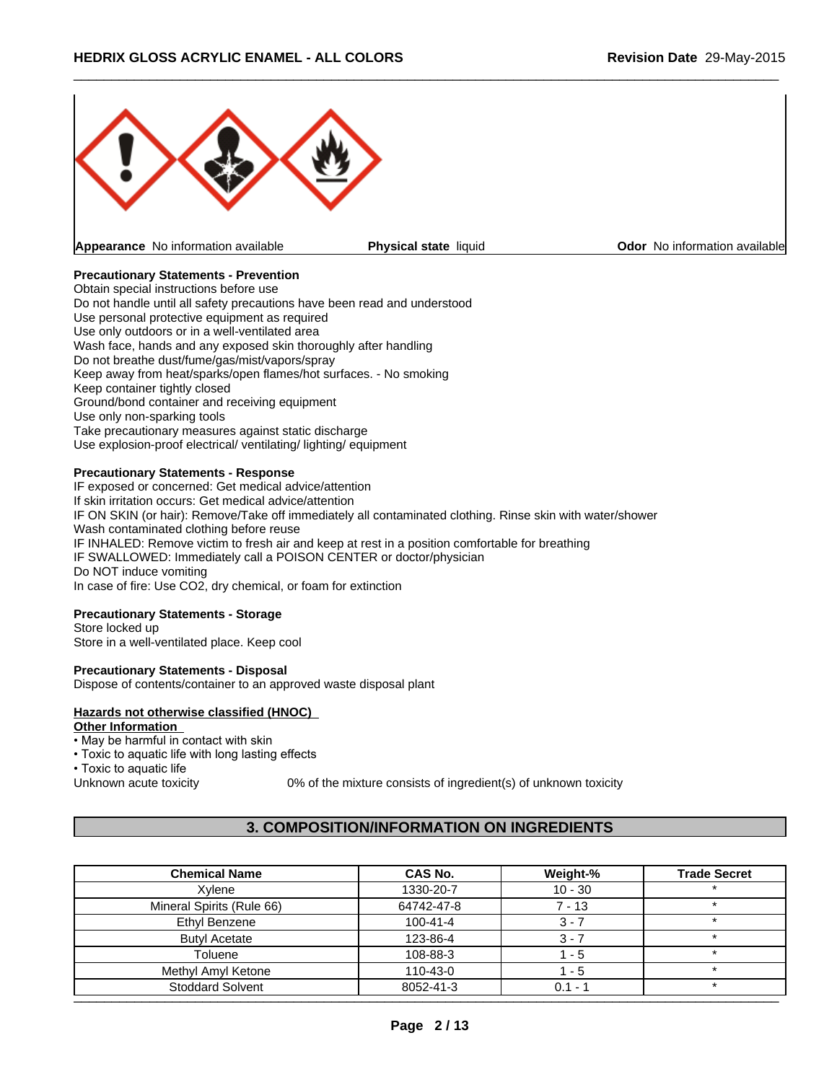

**Appearance** No information available **Physical state** liquid **Physical state of Codor No information available** 

 $\_$  ,  $\_$  ,  $\_$  ,  $\_$  ,  $\_$  ,  $\_$  ,  $\_$  ,  $\_$  ,  $\_$  ,  $\_$  ,  $\_$  ,  $\_$  ,  $\_$  ,  $\_$  ,  $\_$  ,  $\_$  ,  $\_$  ,  $\_$  ,  $\_$  ,  $\_$  ,  $\_$  ,  $\_$  ,  $\_$  ,  $\_$  ,  $\_$  ,  $\_$  ,  $\_$  ,  $\_$  ,  $\_$  ,  $\_$  ,  $\_$  ,  $\_$  ,  $\_$  ,  $\_$  ,  $\_$  ,  $\_$  ,  $\_$  ,

#### **Precautionary Statements - Prevention**

Obtain special instructions before use Do not handle until all safety precautions have been read and understood Use personal protective equipment as required Use only outdoors or in a well-ventilated area Wash face, hands and any exposed skin thoroughly after handling Do not breathe dust/fume/gas/mist/vapors/spray Keep away from heat/sparks/open flames/hot surfaces. - No smoking Keep container tightly closed Ground/bond container and receiving equipment Use only non-sparking tools Take precautionary measures against static discharge Use explosion-proof electrical/ ventilating/ lighting/ equipment

#### **Precautionary Statements - Response**

IF exposed or concerned: Get medical advice/attention If skin irritation occurs: Get medical advice/attention IF ON SKIN (or hair): Remove/Take off immediately all contaminated clothing. Rinse skin with water/shower Wash contaminated clothing before reuse IF INHALED: Remove victim to fresh air and keep at rest in a position comfortable for breathing IF SWALLOWED: Immediately call a POISON CENTER or doctor/physician Do NOT induce vomiting In case of fire: Use CO2, dry chemical, or foam for extinction

#### **Precautionary Statements - Storage**

Store locked up Store in a well-ventilated place. Keep cool

#### **Precautionary Statements - Disposal**

Dispose of contents/container to an approved waste disposal plant

# **Hazards not otherwise classified (HNOC)**

# **Other Information**

- May be harmful in contact with skin
- Toxic to aquatic life with long lasting effects

• Toxic to aquatic life

Unknown acute toxicity 0% of the mixture consists of ingredient(s) of unknown toxicity

# **3. COMPOSITION/INFORMATION ON INGREDIENTS**

| <b>Chemical Name</b>      | <b>CAS No.</b> | Weight-%  | <b>Trade Secret</b> |
|---------------------------|----------------|-----------|---------------------|
| Xvlene                    | 1330-20-7      | $10 - 30$ |                     |
| Mineral Spirits (Rule 66) | 64742-47-8     | $7 - 13$  |                     |
| Ethyl Benzene             | $100 - 41 - 4$ | $3 - 7$   |                     |
| <b>Butyl Acetate</b>      | 123-86-4       | 3 - 7     |                     |
| Toluene                   | 108-88-3       | 1 - 5     |                     |
| Methyl Amyl Ketone        | 110-43-0       | $1 - 5$   |                     |
| <b>Stoddard Solvent</b>   | 8052-41-3      | $0.1 - 1$ |                     |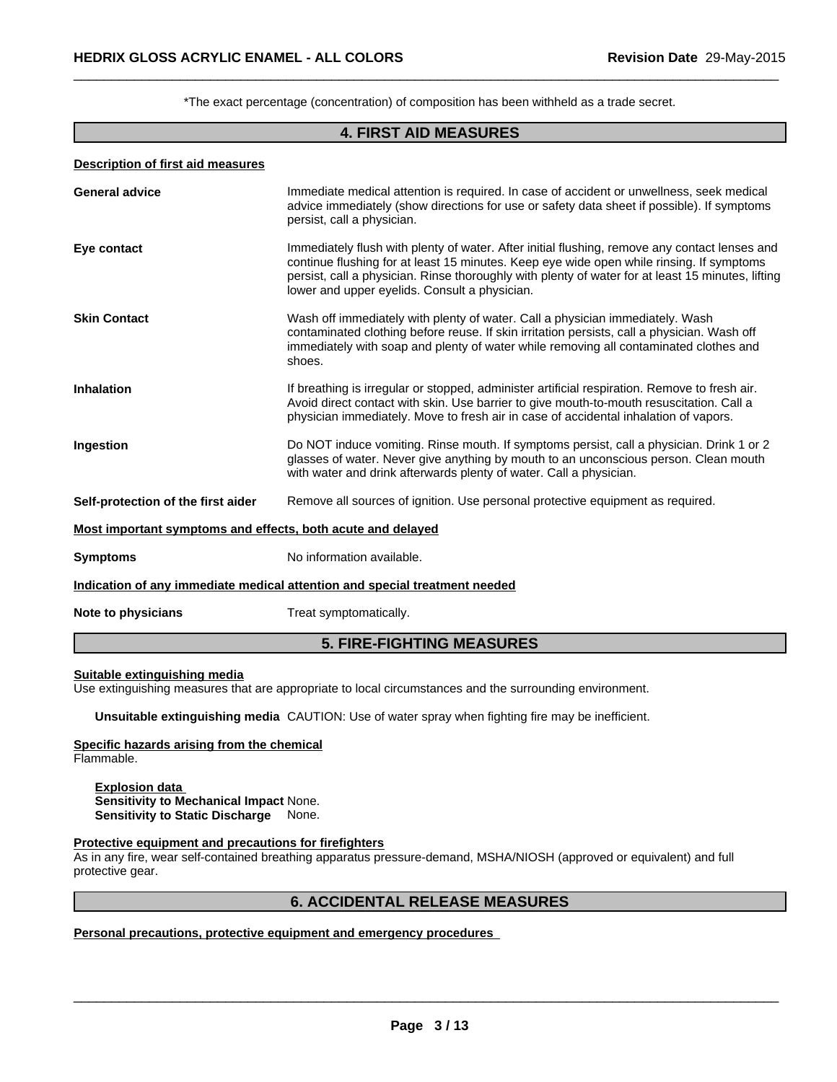| Description of first aid measures |
|-----------------------------------|
|-----------------------------------|

|                                                             | *The exact percentage (concentration) of composition has been withheld as a trade secret.                                                                                                                                                                                                                                                       |
|-------------------------------------------------------------|-------------------------------------------------------------------------------------------------------------------------------------------------------------------------------------------------------------------------------------------------------------------------------------------------------------------------------------------------|
|                                                             | <b>4. FIRST AID MEASURES</b>                                                                                                                                                                                                                                                                                                                    |
| <b>Description of first aid measures</b>                    |                                                                                                                                                                                                                                                                                                                                                 |
| <b>General advice</b>                                       | Immediate medical attention is required. In case of accident or unwellness, seek medical<br>advice immediately (show directions for use or safety data sheet if possible). If symptoms<br>persist, call a physician.                                                                                                                            |
| Eye contact                                                 | Immediately flush with plenty of water. After initial flushing, remove any contact lenses and<br>continue flushing for at least 15 minutes. Keep eye wide open while rinsing. If symptoms<br>persist, call a physician. Rinse thoroughly with plenty of water for at least 15 minutes, lifting<br>lower and upper eyelids. Consult a physician. |
| <b>Skin Contact</b>                                         | Wash off immediately with plenty of water. Call a physician immediately. Wash<br>contaminated clothing before reuse. If skin irritation persists, call a physician. Wash off<br>immediately with soap and plenty of water while removing all contaminated clothes and<br>shoes.                                                                 |
| <b>Inhalation</b>                                           | If breathing is irregular or stopped, administer artificial respiration. Remove to fresh air.<br>Avoid direct contact with skin. Use barrier to give mouth-to-mouth resuscitation. Call a<br>physician immediately. Move to fresh air in case of accidental inhalation of vapors.                                                               |
| Ingestion                                                   | Do NOT induce vomiting. Rinse mouth. If symptoms persist, call a physician. Drink 1 or 2<br>glasses of water. Never give anything by mouth to an unconscious person. Clean mouth<br>with water and drink afterwards plenty of water. Call a physician.                                                                                          |
| Self-protection of the first aider                          | Remove all sources of ignition. Use personal protective equipment as required.                                                                                                                                                                                                                                                                  |
| Most important symptoms and effects, both acute and delayed |                                                                                                                                                                                                                                                                                                                                                 |
| <b>Symptoms</b>                                             | No information available.                                                                                                                                                                                                                                                                                                                       |
|                                                             | Indication of any immediate medical attention and special treatment needed                                                                                                                                                                                                                                                                      |
| Note to physicians                                          | Treat symptomatically.                                                                                                                                                                                                                                                                                                                          |
|                                                             | <b>5. FIRE-FIGHTING MEASURES</b>                                                                                                                                                                                                                                                                                                                |

#### **Suitable extinguishing media**

**Unsuitable extinguishing media** CAUTION: Use of water spray when fighting fire may be inefficient.

# **Specific hazards arising from the chemical**

Flammable.

**Explosion data Sensitivity to Mechanical Impact** None. **Sensitivity to Static Discharge** None.

#### **Protective equipment and precautions for firefighters**

As in any fire, wear self-contained breathing apparatus pressure-demand, MSHA/NIOSH (approved or equivalent) and full protective gear. propriate to local circumstances and the surrounding environment.<br>CAUTION: Use of water spray when fighting fire may be inefficient.<br>**mical**<br>Mone.<br>**s for firefighters**<br>ining apparatus pressure-demand, MSHA/NIOSH (approved

**Personal precautions, protective equipment and emergency procedures**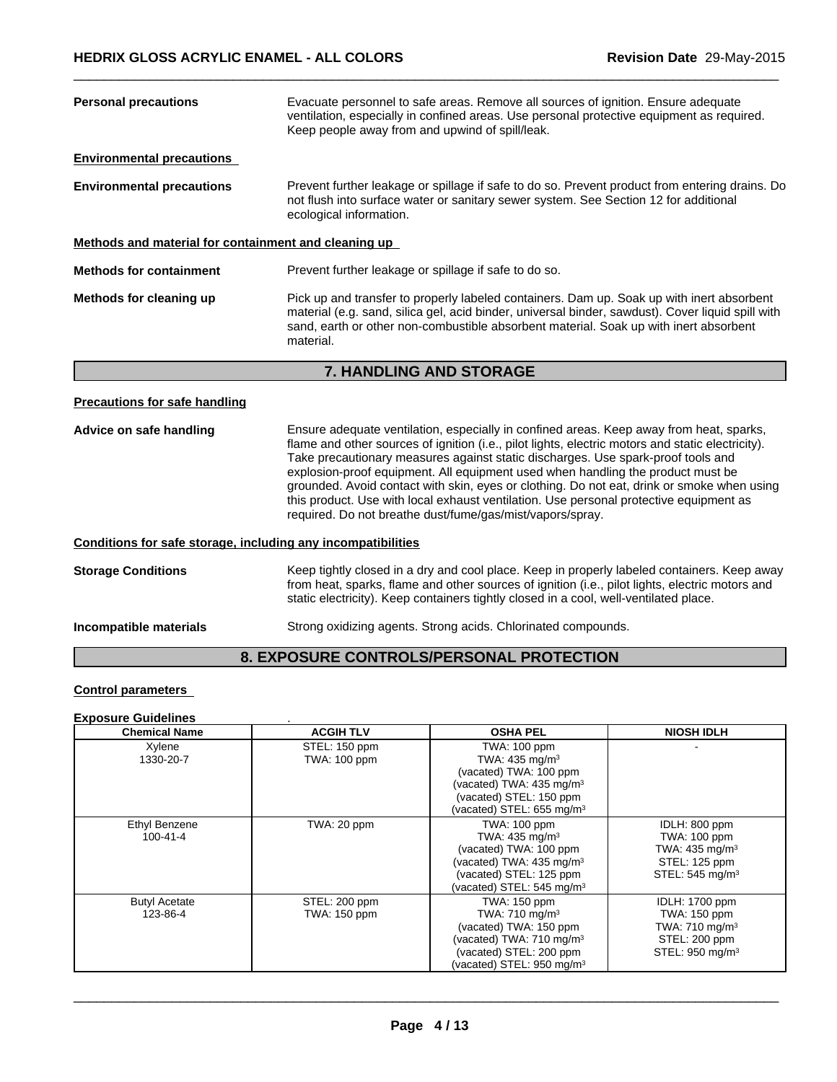| <b>Personal precautions</b>                                  | Evacuate personnel to safe areas. Remove all sources of ignition. Ensure adequate<br>ventilation, especially in confined areas. Use personal protective equipment as required.<br>Keep people away from and upwind of spill/leak.                                                                                                                                                                                                                                                                                                                                                                                        |  |  |  |
|--------------------------------------------------------------|--------------------------------------------------------------------------------------------------------------------------------------------------------------------------------------------------------------------------------------------------------------------------------------------------------------------------------------------------------------------------------------------------------------------------------------------------------------------------------------------------------------------------------------------------------------------------------------------------------------------------|--|--|--|
| <b>Environmental precautions</b>                             |                                                                                                                                                                                                                                                                                                                                                                                                                                                                                                                                                                                                                          |  |  |  |
| <b>Environmental precautions</b>                             | Prevent further leakage or spillage if safe to do so. Prevent product from entering drains. Do<br>not flush into surface water or sanitary sewer system. See Section 12 for additional<br>ecological information.                                                                                                                                                                                                                                                                                                                                                                                                        |  |  |  |
| Methods and material for containment and cleaning up         |                                                                                                                                                                                                                                                                                                                                                                                                                                                                                                                                                                                                                          |  |  |  |
| <b>Methods for containment</b>                               | Prevent further leakage or spillage if safe to do so.                                                                                                                                                                                                                                                                                                                                                                                                                                                                                                                                                                    |  |  |  |
| Methods for cleaning up                                      | Pick up and transfer to properly labeled containers. Dam up. Soak up with inert absorbent<br>material (e.g. sand, silica gel, acid binder, universal binder, sawdust). Cover liquid spill with<br>sand, earth or other non-combustible absorbent material. Soak up with inert absorbent<br>material.                                                                                                                                                                                                                                                                                                                     |  |  |  |
|                                                              | 7. HANDLING AND STORAGE                                                                                                                                                                                                                                                                                                                                                                                                                                                                                                                                                                                                  |  |  |  |
| <b>Precautions for safe handling</b>                         |                                                                                                                                                                                                                                                                                                                                                                                                                                                                                                                                                                                                                          |  |  |  |
| Advice on safe handling                                      | Ensure adequate ventilation, especially in confined areas. Keep away from heat, sparks,<br>flame and other sources of ignition (i.e., pilot lights, electric motors and static electricity).<br>Take precautionary measures against static discharges. Use spark-proof tools and<br>explosion-proof equipment. All equipment used when handling the product must be<br>grounded. Avoid contact with skin, eyes or clothing. Do not eat, drink or smoke when using<br>this product. Use with local exhaust ventilation. Use personal protective equipment as<br>required. Do not breathe dust/fume/gas/mist/vapors/spray. |  |  |  |
| Conditions for safe storage, including any incompatibilities |                                                                                                                                                                                                                                                                                                                                                                                                                                                                                                                                                                                                                          |  |  |  |
| <b>Storage Conditions</b>                                    | Keep tightly closed in a dry and cool place. Keep in properly labeled containers. Keep away<br>from heat, sparks, flame and other sources of ignition (i.e., pilot lights, electric motors and<br>static electricity). Keep containers tightly closed in a cool, well-ventilated place.                                                                                                                                                                                                                                                                                                                                  |  |  |  |

**Incompatible materials** Strong oxidizing agents. Strong acids. Chlorinated compounds.

# **8. EXPOSURE CONTROLS/PERSONAL PROTECTION**

# **Control parameters**

# **Exposure Guidelines** .

| <b>Chemical Name</b>             | <b>ACGIH TLV</b>                     | <b>OSHA PEL</b>                                                                                                                                                                  | <b>NIOSH IDLH</b>                                                                                          |
|----------------------------------|--------------------------------------|----------------------------------------------------------------------------------------------------------------------------------------------------------------------------------|------------------------------------------------------------------------------------------------------------|
| Xylene<br>1330-20-7              | STEL: 150 ppm<br><b>TWA: 100 ppm</b> | TWA: 100 ppm<br>TWA: $435 \text{ mg/m}^3$<br>(vacated) TWA: 100 ppm<br>(vacated) TWA: $435 \text{ mg/m}^3$<br>(vacated) STEL: 150 ppm<br>(vacated) STEL: $655 \text{ mg/m}^3$    |                                                                                                            |
| Ethyl Benzene<br>$100 - 41 - 4$  | TWA: 20 ppm                          | TWA: 100 ppm<br>TWA: 435 mg/m <sup>3</sup><br>(vacated) TWA: 100 ppm<br>(vacated) TWA: $435 \text{ mg/m}^3$<br>(vacated) STEL: 125 ppm<br>(vacated) STEL: $545 \text{ mg/m}^3$   | IDLH: 800 ppm<br>TWA: 100 ppm<br>TWA: $435 \text{ mg/m}^3$<br>STEL: 125 ppm<br>STEL: 545 mg/m <sup>3</sup> |
| <b>Butyl Acetate</b><br>123-86-4 | STEL: 200 ppm<br>TWA: 150 ppm        | TWA: 150 ppm<br>TWA: 710 mg/m <sup>3</sup><br>(vacated) TWA: 150 ppm<br>(vacated) TWA: 710 mg/m <sup>3</sup><br>(vacated) STEL: 200 ppm<br>(vacated) STEL: 950 mg/m <sup>3</sup> | <b>IDLH: 1700 ppm</b><br>TWA: 150 ppm<br>TWA: 710 mg/m $3$<br>STEL: 200 ppm<br>STEL: 950 mg/m <sup>3</sup> |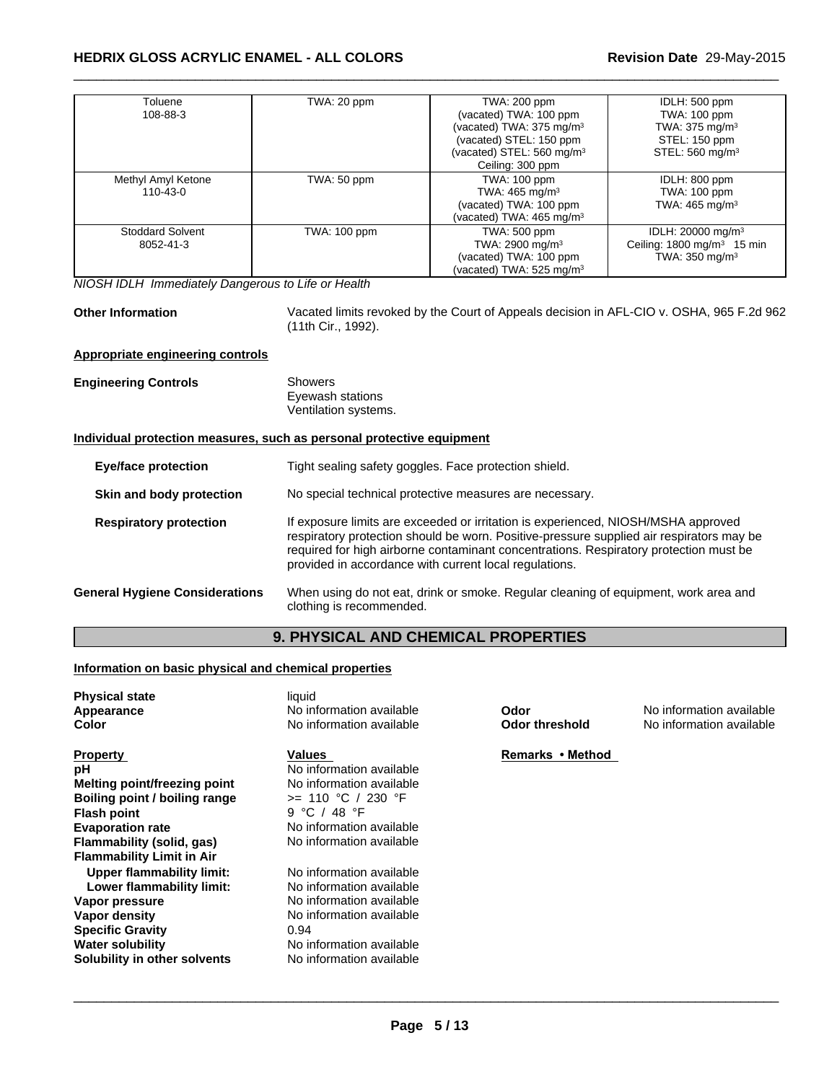| Toluene                 | TWA: 20 ppm  | TWA: 200 ppm                         | IDLH: 500 ppm                         |
|-------------------------|--------------|--------------------------------------|---------------------------------------|
| 108-88-3                |              | (vacated) TWA: 100 ppm               | TWA: 100 ppm                          |
|                         |              | (vacated) TWA: 375 mg/m <sup>3</sup> | TWA: $375 \text{ mg/m}^3$             |
|                         |              | (vacated) STEL: 150 ppm              | STEL: 150 ppm                         |
|                         |              | (vacated) STEL: $560 \text{ mg/m}^3$ | STEL: 560 mg/m <sup>3</sup>           |
|                         |              | Ceiling: 300 ppm                     |                                       |
| Methyl Amyl Ketone      | TWA: 50 ppm  | TWA: 100 ppm                         | IDLH: 800 ppm                         |
| $110 - 43 - 0$          |              | TWA: $465 \text{ mg/m}^3$            | TWA: 100 ppm                          |
|                         |              | (vacated) TWA: 100 ppm               | TWA: $465 \text{ mg/m}^3$             |
|                         |              | (vacated) TWA: 465 mg/m <sup>3</sup> |                                       |
| <b>Stoddard Solvent</b> | TWA: 100 ppm | TWA: 500 ppm                         | IDLH: 20000 mg/m <sup>3</sup>         |
| 8052-41-3               |              | TWA: 2900 mg/m <sup>3</sup>          | Ceiling: $1800 \text{ mg/m}^3$ 15 min |
|                         |              | (vacated) TWA: 100 ppm               | TWA: $350 \text{ mg/m}^3$             |
|                         |              | vacated) TWA: 525 mg/m <sup>3</sup>  |                                       |

*NIOSH IDLH Immediately Dangerous to Life or Health*

**Other Information** Vacated limits revoked by the Court of Appeals decision in AFL-CIO v. OSHA, 965 F.2d 962 (11th Cir., 1992).

 $\_$  ,  $\_$  ,  $\_$  ,  $\_$  ,  $\_$  ,  $\_$  ,  $\_$  ,  $\_$  ,  $\_$  ,  $\_$  ,  $\_$  ,  $\_$  ,  $\_$  ,  $\_$  ,  $\_$  ,  $\_$  ,  $\_$  ,  $\_$  ,  $\_$  ,  $\_$  ,  $\_$  ,  $\_$  ,  $\_$  ,  $\_$  ,  $\_$  ,  $\_$  ,  $\_$  ,  $\_$  ,  $\_$  ,  $\_$  ,  $\_$  ,  $\_$  ,  $\_$  ,  $\_$  ,  $\_$  ,  $\_$  ,  $\_$  ,

#### **Appropriate engineering controls**

| <b>Engineering Controls</b> | Showers              |  |
|-----------------------------|----------------------|--|
|                             | Eyewash stations     |  |
|                             | Ventilation systems. |  |

#### **Individual protection measures, such as personal protective equipment**

| <b>Eye/face protection</b>    |                                       | Tight sealing safety goggles. Face protection shield.                                                                                                                                                                                                                                                                            |
|-------------------------------|---------------------------------------|----------------------------------------------------------------------------------------------------------------------------------------------------------------------------------------------------------------------------------------------------------------------------------------------------------------------------------|
| Skin and body protection      |                                       | No special technical protective measures are necessary.                                                                                                                                                                                                                                                                          |
| <b>Respiratory protection</b> |                                       | If exposure limits are exceeded or irritation is experienced, NIOSH/MSHA approved<br>respiratory protection should be worn. Positive-pressure supplied air respirators may be<br>required for high airborne contaminant concentrations. Respiratory protection must be<br>provided in accordance with current local regulations. |
|                               | <b>General Hygiene Considerations</b> | When using do not eat, drink or smoke. Regular cleaning of equipment, work area and<br>clothing is recommended.                                                                                                                                                                                                                  |

# **9. PHYSICAL AND CHEMICAL PROPERTIES**

#### **Information on basic physical and chemical properties**

| <b>Physical state</b><br>Appearance<br>Color                                                                                                                                                      | liquid<br>No information available<br>No information available                                                                                                               | Odor<br>Odor threshold | No information available<br>No information available |
|---------------------------------------------------------------------------------------------------------------------------------------------------------------------------------------------------|------------------------------------------------------------------------------------------------------------------------------------------------------------------------------|------------------------|------------------------------------------------------|
| <b>Property</b><br>рH<br>Melting point/freezing point<br>Boiling point / boiling range<br>Flash point<br><b>Evaporation rate</b><br>Flammability (solid, gas)<br><b>Flammability Limit in Air</b> | Values<br>No information available<br>No information available<br>>= 110 °C / 230 °F<br>9 °C / 48 °F<br>No information available<br>No information available                 | Remarks • Method       |                                                      |
| <b>Upper flammability limit:</b><br>Lower flammability limit:<br>Vapor pressure<br>Vapor density<br><b>Specific Gravity</b><br><b>Water solubility</b><br>Solubility in other solvents            | No information available<br>No information available<br>No information available<br>No information available<br>0.94<br>No information available<br>No information available |                        |                                                      |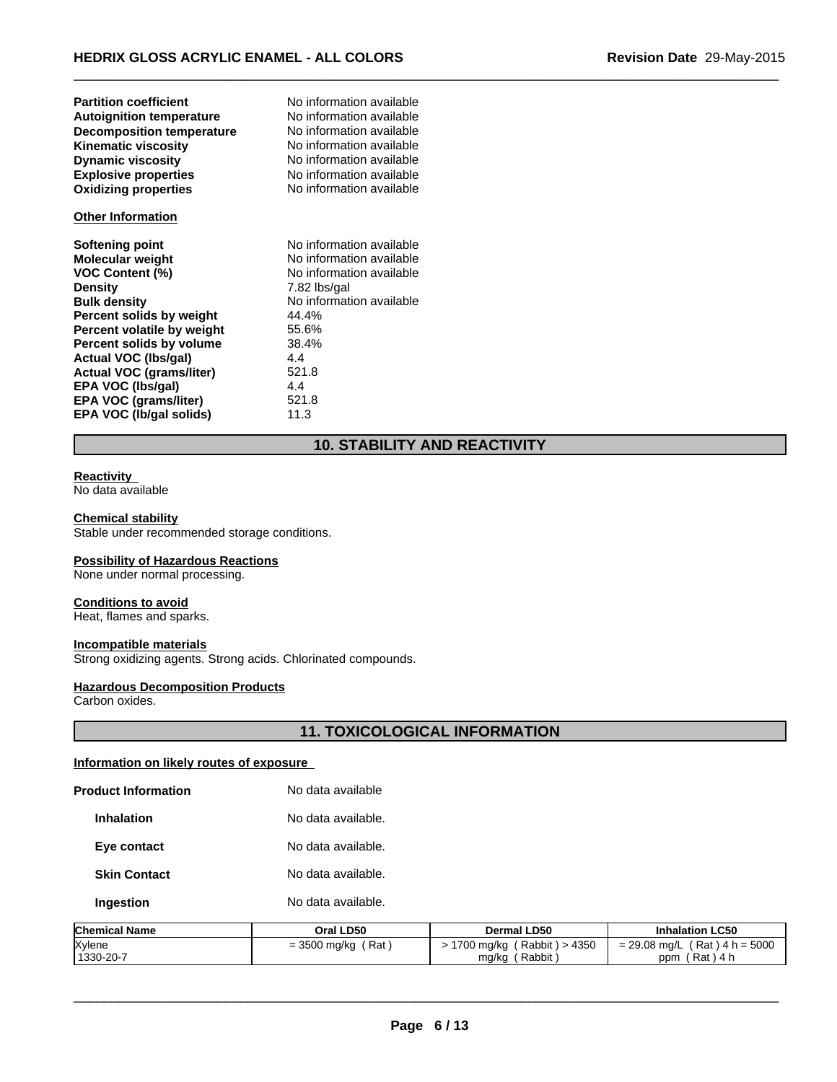| <b>Partition coefficient</b><br><b>Autoignition temperature</b><br><b>Decomposition temperature</b><br><b>Kinematic viscosity</b><br><b>Dynamic viscosity</b><br><b>Explosive properties</b><br><b>Oxidizing properties</b>                                                                                                                           | No information available<br>No information available<br>No information available<br>No information available<br>No information available<br>No information available<br>No information available |  |  |
|-------------------------------------------------------------------------------------------------------------------------------------------------------------------------------------------------------------------------------------------------------------------------------------------------------------------------------------------------------|--------------------------------------------------------------------------------------------------------------------------------------------------------------------------------------------------|--|--|
| <b>Other Information</b>                                                                                                                                                                                                                                                                                                                              |                                                                                                                                                                                                  |  |  |
| <b>Softening point</b><br><b>Molecular weight</b><br><b>VOC Content (%)</b><br><b>Density</b><br><b>Bulk density</b><br>Percent solids by weight<br>Percent volatile by weight<br>Percent solids by volume<br><b>Actual VOC (lbs/gal)</b><br><b>Actual VOC (grams/liter)</b><br>EPA VOC (Ibs/gal)<br>EPA VOC (grams/liter)<br>EPA VOC (Ib/gal solids) | No information available<br>No information available<br>No information available<br>7.82 lbs/gal<br>No information available<br>44.4%<br>55.6%<br>38.4%<br>4.4<br>521.8<br>4.4<br>521.8<br>11.3  |  |  |
| <b>10. STABILITY AND REACTIVITY</b>                                                                                                                                                                                                                                                                                                                   |                                                                                                                                                                                                  |  |  |
| <b>Reactivity</b><br>No data available                                                                                                                                                                                                                                                                                                                |                                                                                                                                                                                                  |  |  |

#### **Reactivity**

#### **Chemical stability**

Stable under recommended storage conditions.

#### **Possibility of Hazardous Reactions**

None under normal processing.

#### **Conditions to avoid**

Heat, flames and sparks.

#### **Incompatible materials**

Strong oxidizing agents. Strong acids. Chlorinated compounds.

#### **Hazardous Decomposition Products**

Carbon oxides.

# **11. TOXICOLOGICAL INFORMATION**<br>**11. TOXICOLOGICAL INFORMATION**<br>e\_

#### **Information on likely routes of exposure**

| Ohamisal Manas             | $0.0011$ DEA       | <b>D</b> – …… |
|----------------------------|--------------------|---------------|
| Ingestion                  | No data available. |               |
| <b>Skin Contact</b>        | No data available. |               |
| Eye contact                | No data available. |               |
| <b>Inhalation</b>          | No data available. |               |
| <b>Product Information</b> | No data available  |               |

| <b>Product Information</b> | No data available    |                                                |                                                  |
|----------------------------|----------------------|------------------------------------------------|--------------------------------------------------|
| <b>Inhalation</b>          | No data available.   |                                                |                                                  |
| Eye contact                | No data available.   |                                                |                                                  |
| <b>Skin Contact</b>        | No data available.   |                                                |                                                  |
| Ingestion                  | No data available.   |                                                |                                                  |
| <b>Chemical Name</b>       | Oral LD50            | <b>Dermal LD50</b>                             | <b>Inhalation LC50</b>                           |
| Xylene<br>1330-20-7        | $=$ 3500 mg/kg (Rat) | > 1700 mg/kg (Rabbit) > 4350<br>mg/kg (Rabbit) | $= 29.08$ mg/L (Rat) 4 h = 5000<br>ppm (Rat) 4 h |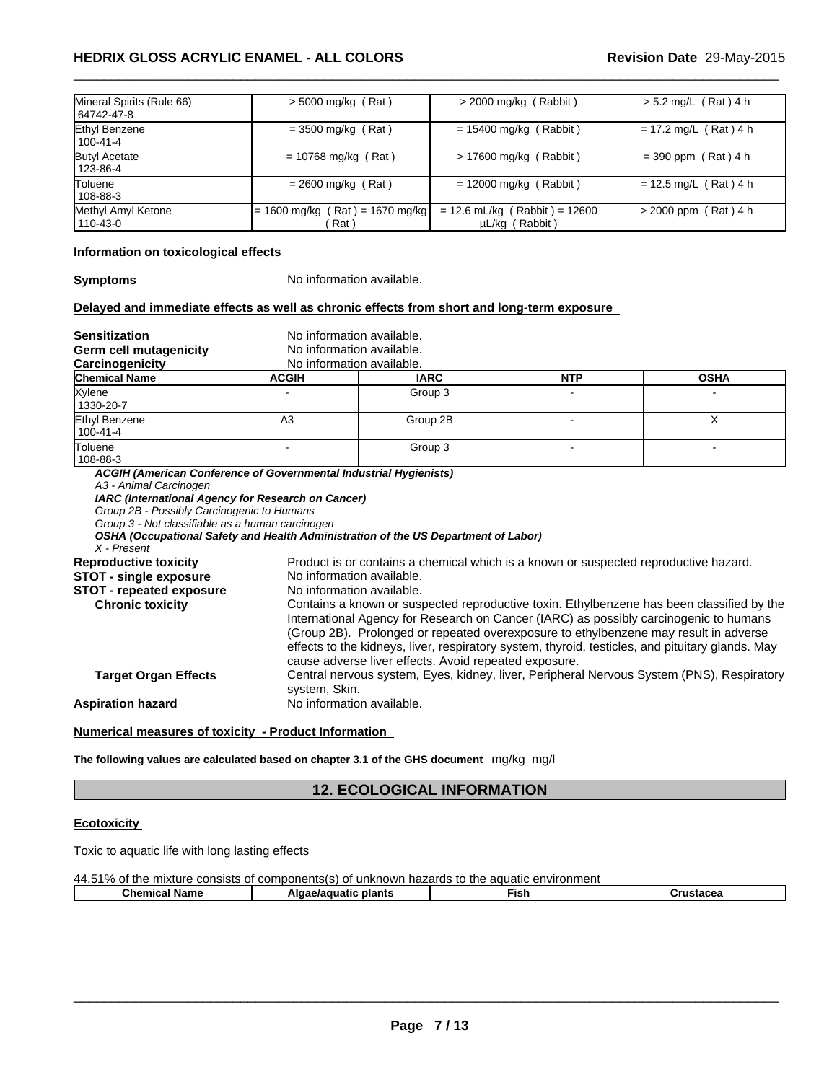|                                           | <b>HEDRIX GLOSS ACRYLIC ENAMEL - ALL COLORS</b> |                          | Revision Date 29-May-2015 |
|-------------------------------------------|-------------------------------------------------|--------------------------|---------------------------|
|                                           |                                                 |                          |                           |
|                                           |                                                 |                          |                           |
|                                           |                                                 |                          |                           |
| Mineral Spirits (Rule 66)<br>  64742-47-8 | $>$ 5000 mg/kg (Rat)                            | $>$ 2000 mg/kg (Rabbit)  | $> 5.2$ mg/L (Rat) 4 h    |
| Ethyl Benzene<br>100-41-4                 | $=$ 3500 mg/kg (Rat)                            | $= 15400$ mg/kg (Rabbit) | $= 17.2$ mg/L (Rat) 4 h   |
| <b>Butyl Acetate</b><br>123-86-4          | $= 10768$ mg/kg (Rat)                           | > 17600 mg/kg (Rabbit)   | $= 390$ ppm (Rat) 4 h     |
|                                           | $= 2600$ mg/kg (Rat)                            | $= 12000$ mg/kg (Rabbit) | $= 12.5$ mg/L (Rat) 4 h   |
| <b>Toluene</b><br>  108-88-3              |                                                 |                          |                           |

#### **Information on toxicological effects**

**Symptoms** No information available.

#### **Delayed and immediate effects as well as chronic effects from short and long-term exposure**

**Sensitization** No information available.

**Germ cell mutagenicity** 

| No information available. |
|---------------------------|
| No information quailable  |

| Carcinogenicity      | N0<br>. information | <sup>,</sup> available. |           |                           |
|----------------------|---------------------|-------------------------|-----------|---------------------------|
| <b>Chemical Name</b> | <b>ACGIF</b>        | <b>IARC</b>             | NITI<br>. | <b>OCU</b><br><b>USNA</b> |
| <b>Xylene</b>        |                     | Group 3                 |           |                           |
| .                    |                     |                         |           |                           |

| Xylene<br>1330-20-7       |    | Group 3  |     |  |
|---------------------------|----|----------|-----|--|
| Ethyl Benzene<br>100-41-4 | A3 | Group 2B |     |  |
| Toluene<br>108-88-3       |    | Group 3  | . . |  |

*ACGIH (American Conference of Governmental Industrial Hygienists)*

*A3 - Animal Carcinogen*

*IARC (International Agency for Research on Cancer)*

*Group 2B - Possibly Carcinogenic to Humans*

*Group 3 - Not classifiable as a human carcinogen*

*OSHA (Occupational Safety and Health Administration of the US Department of Labor)*

*X - Present*

| cause adverse liver effects. Avoid repeated exposure.<br><b>Target Organ Effects</b><br>system, Skin.<br>No information available.<br>Numerical measures of toxicity - Product Information<br>The following values are calculated based on chapter 3.1 of the GHS document $mg/kg$ mg/l | <b>Reproductive toxicity</b><br><b>STOT - single exposure</b><br><b>STOT - repeated exposure</b><br><b>Chronic toxicity</b> | Product is or contains a chemical which is a known or suspected reproductive hazard.<br>No information available.<br>No information available.<br>Contains a known or suspected reproductive toxin. Ethylbenzene has been classified by the<br>International Agency for Research on Cancer (IARC) as possibly carcinogenic to humans<br>(Group 2B). Prolonged or repeated overexposure to ethylbenzene may result in adverse |
|-----------------------------------------------------------------------------------------------------------------------------------------------------------------------------------------------------------------------------------------------------------------------------------------|-----------------------------------------------------------------------------------------------------------------------------|------------------------------------------------------------------------------------------------------------------------------------------------------------------------------------------------------------------------------------------------------------------------------------------------------------------------------------------------------------------------------------------------------------------------------|
|                                                                                                                                                                                                                                                                                         |                                                                                                                             | effects to the kidneys, liver, respiratory system, thyroid, testicles, and pituitary glands. May                                                                                                                                                                                                                                                                                                                             |
|                                                                                                                                                                                                                                                                                         |                                                                                                                             | Central nervous system, Eyes, kidney, liver, Peripheral Nervous System (PNS), Respiratory                                                                                                                                                                                                                                                                                                                                    |
|                                                                                                                                                                                                                                                                                         | <b>Aspiration hazard</b>                                                                                                    |                                                                                                                                                                                                                                                                                                                                                                                                                              |
|                                                                                                                                                                                                                                                                                         |                                                                                                                             |                                                                                                                                                                                                                                                                                                                                                                                                                              |
|                                                                                                                                                                                                                                                                                         |                                                                                                                             |                                                                                                                                                                                                                                                                                                                                                                                                                              |
|                                                                                                                                                                                                                                                                                         |                                                                                                                             | <b>12. ECOLOGICAL INFORMATION</b>                                                                                                                                                                                                                                                                                                                                                                                            |
|                                                                                                                                                                                                                                                                                         |                                                                                                                             |                                                                                                                                                                                                                                                                                                                                                                                                                              |
| <b>Ecotoxicity</b>                                                                                                                                                                                                                                                                      | Tovic to aquatic life with long lasting effects                                                                             |                                                                                                                                                                                                                                                                                                                                                                                                                              |

# **Ecotoxicity**

Toxic to aquatic life with long lasting effects

| 44.51%<br>of the mixture<br>components(s) of<br>aquatic environment (<br>to the<br>consists<br>t unknown hazards<br>Ωt<br>70 |                         |      |           |  |
|------------------------------------------------------------------------------------------------------------------------------|-------------------------|------|-----------|--|
| <b>Chemical Name</b>                                                                                                         | plants<br>Algae/aguatic | ™ish | Crustacea |  |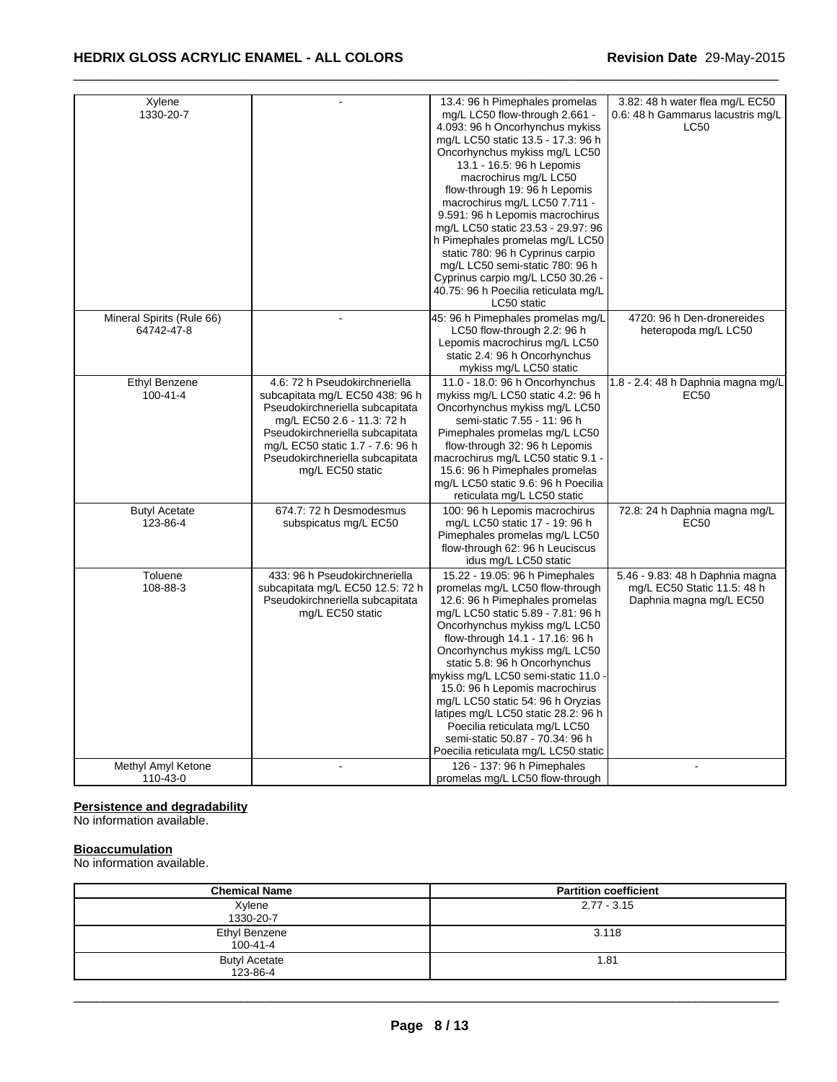# **HEDRIX GLOSS ACRYLIC ENAMEL - ALL COLORS Revision Date** 29-May-2015

| Xylene<br>1330-20-7                     |                                                                                                                                                                                                                                                                 | 13.4: 96 h Pimephales promelas<br>mg/L LC50 flow-through 2.661 -<br>4.093: 96 h Oncorhynchus mykiss<br>mg/L LC50 static 13.5 - 17.3: 96 h<br>Oncorhynchus mykiss mg/L LC50<br>13.1 - 16.5: 96 h Lepomis<br>macrochirus mg/L LC50<br>flow-through 19: 96 h Lepomis<br>macrochirus mg/L LC50 7.711 -<br>9.591: 96 h Lepomis macrochirus<br>mg/L LC50 static 23.53 - 29.97: 96<br>h Pimephales promelas mg/L LC50<br>static 780: 96 h Cyprinus carpio<br>mg/L LC50 semi-static 780: 96 h<br>Cyprinus carpio mg/L LC50 30.26 -<br>40.75: 96 h Poecilia reticulata mg/L<br>LC50 static | 3.82: 48 h water flea mg/L EC50<br>0.6: 48 h Gammarus lacustris mg/L<br><b>LC50</b>       |
|-----------------------------------------|-----------------------------------------------------------------------------------------------------------------------------------------------------------------------------------------------------------------------------------------------------------------|-----------------------------------------------------------------------------------------------------------------------------------------------------------------------------------------------------------------------------------------------------------------------------------------------------------------------------------------------------------------------------------------------------------------------------------------------------------------------------------------------------------------------------------------------------------------------------------|-------------------------------------------------------------------------------------------|
| Mineral Spirits (Rule 66)<br>64742-47-8 |                                                                                                                                                                                                                                                                 | 45: 96 h Pimephales promelas mg/L<br>LC50 flow-through 2.2: 96 h<br>Lepomis macrochirus mg/L LC50<br>static 2.4: 96 h Oncorhynchus<br>mykiss mg/L LC50 static                                                                                                                                                                                                                                                                                                                                                                                                                     | 4720: 96 h Den-dronereides<br>heteropoda mg/L LC50                                        |
| Ethyl Benzene<br>$100 - 41 - 4$         | 4.6: 72 h Pseudokirchneriella<br>subcapitata mg/L EC50 438: 96 h<br>Pseudokirchneriella subcapitata<br>mg/L EC50 2.6 - 11.3: 72 h<br>Pseudokirchneriella subcapitata<br>mg/L EC50 static 1.7 - 7.6: 96 h<br>Pseudokirchneriella subcapitata<br>mg/L EC50 static | 11.0 - 18.0: 96 h Oncorhynchus<br>mykiss mg/L LC50 static 4.2: 96 h<br>Oncorhynchus mykiss mg/L LC50<br>semi-static 7.55 - 11: 96 h<br>Pimephales promelas mg/L LC50<br>flow-through 32: 96 h Lepomis<br>macrochirus mg/L LC50 static 9.1 -<br>15.6: 96 h Pimephales promelas<br>mg/L LC50 static 9.6: 96 h Poecilia<br>reticulata mg/L LC50 static                                                                                                                                                                                                                               | 1.8 - 2.4: 48 h Daphnia magna mg/L<br>EC50                                                |
| <b>Butyl Acetate</b><br>123-86-4        | 674.7: 72 h Desmodesmus<br>subspicatus mg/L EC50                                                                                                                                                                                                                | 100: 96 h Lepomis macrochirus<br>mg/L LC50 static 17 - 19: 96 h<br>Pimephales promelas mg/L LC50<br>flow-through 62: 96 h Leuciscus<br>idus mg/L LC50 static                                                                                                                                                                                                                                                                                                                                                                                                                      | 72.8: 24 h Daphnia magna mg/L<br>EC50                                                     |
| Toluene<br>108-88-3                     | 433: 96 h Pseudokirchneriella<br>subcapitata mg/L EC50 12.5: 72 h<br>Pseudokirchneriella subcapitata<br>mg/L EC50 static                                                                                                                                        | 15.22 - 19.05: 96 h Pimephales<br>promelas mg/L LC50 flow-through<br>12.6: 96 h Pimephales promelas<br>mg/L LC50 static 5.89 - 7.81: 96 h<br>Oncorhynchus mykiss mg/L LC50<br>flow-through 14.1 - 17.16: 96 h<br>Oncorhynchus mykiss mg/L LC50<br>static 5.8: 96 h Oncorhynchus<br>mykiss mg/L LC50 semi-static 11.0<br>15.0: 96 h Lepomis macrochirus<br>mg/L LC50 static 54: 96 h Oryzias<br>latipes mg/L LC50 static 28.2: 96 h<br>Poecilia reticulata mg/L LC50<br>semi-static 50.87 - 70.34: 96 h<br>Poecilia reticulata mg/L LC50 static                                    | 5.46 - 9.83: 48 h Daphnia magna<br>mg/L EC50 Static 11.5: 48 h<br>Daphnia magna mg/L EC50 |
| Methyl Amyl Ketone<br>110-43-0          |                                                                                                                                                                                                                                                                 | 126 - 137: 96 h Pimephales<br>promelas mg/L LC50 flow-through                                                                                                                                                                                                                                                                                                                                                                                                                                                                                                                     |                                                                                           |

 $\_$  ,  $\_$  ,  $\_$  ,  $\_$  ,  $\_$  ,  $\_$  ,  $\_$  ,  $\_$  ,  $\_$  ,  $\_$  ,  $\_$  ,  $\_$  ,  $\_$  ,  $\_$  ,  $\_$  ,  $\_$  ,  $\_$  ,  $\_$  ,  $\_$  ,  $\_$  ,  $\_$  ,  $\_$  ,  $\_$  ,  $\_$  ,  $\_$  ,  $\_$  ,  $\_$  ,  $\_$  ,  $\_$  ,  $\_$  ,  $\_$  ,  $\_$  ,  $\_$  ,  $\_$  ,  $\_$  ,  $\_$  ,  $\_$  ,

#### **Persistence and degradability**

No information available.

## **Bioaccumulation**

No information available.

| <b>Chemical Name</b>             | <b>Partition coefficient</b> |
|----------------------------------|------------------------------|
| Xylene<br>1330-20-7              | $2.77 - 3.15$                |
| Ethyl Benzene<br>$100 - 41 - 4$  | 3.118                        |
| <b>Butyl Acetate</b><br>123-86-4 | 1.81                         |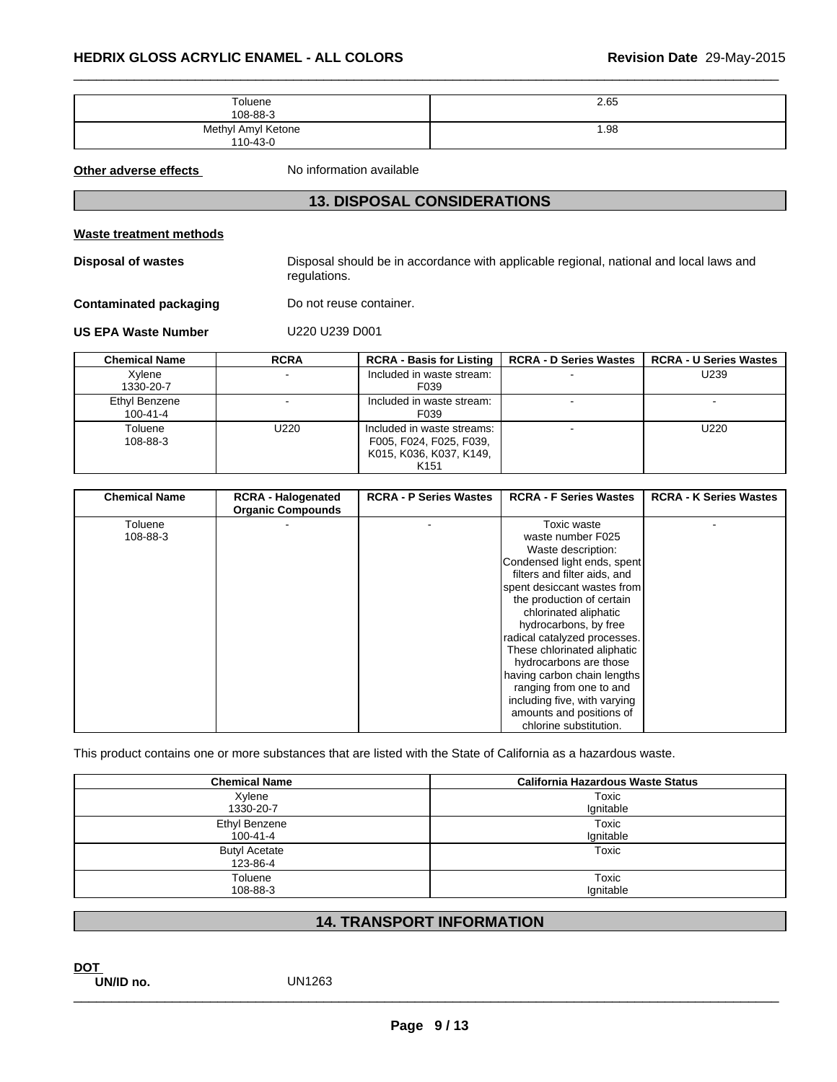| HEDRIX GLOSS ACRYLIC ENAMEL - ALL COLORS |                                    | Revision Date 29-May-2015                                                              |
|------------------------------------------|------------------------------------|----------------------------------------------------------------------------------------|
|                                          | Toluene<br>108-88-3                | 2.65                                                                                   |
|                                          | Methyl Amyl Ketone<br>110-43-0     | 1.98                                                                                   |
| Other adverse effects                    | No information available           |                                                                                        |
|                                          | <b>13. DISPOSAL CONSIDERATIONS</b> |                                                                                        |
| <b>Waste treatment methods</b>           |                                    |                                                                                        |
| Dienneal of wastes                       |                                    | Disposal should be in accordance with applicable regional inational and local laws and |

#### **Waste treatment methods**

| <b>13. DISPOSAL CONSIDERATIONS</b> |                                                       |                                                                                                      |                                  |                               |  |  |
|------------------------------------|-------------------------------------------------------|------------------------------------------------------------------------------------------------------|----------------------------------|-------------------------------|--|--|
| Waste treatment methods            |                                                       |                                                                                                      |                                  |                               |  |  |
| <b>Disposal of wastes</b>          | regulations.                                          | Disposal should be in accordance with applicable regional, national and local laws and               |                                  |                               |  |  |
| <b>Contaminated packaging</b>      | Do not reuse container.                               |                                                                                                      |                                  |                               |  |  |
| <b>US EPA Waste Number</b>         | U220 U239 D001                                        |                                                                                                      |                                  |                               |  |  |
| <b>Chemical Name</b>               | <b>RCRA</b>                                           | <b>RCRA - Basis for Listing</b>                                                                      | <b>RCRA - D Series Wastes</b>    | <b>RCRA - U Series Wastes</b> |  |  |
| Xylene<br>1330-20-7                |                                                       | Included in waste stream:<br>F039                                                                    |                                  | U239                          |  |  |
| Ethyl Benzene<br>$100 - 41 - 4$    |                                                       | Included in waste stream:<br>F039                                                                    |                                  |                               |  |  |
| Toluene<br>108-88-3                | U220                                                  | Included in waste streams:<br>F005, F024, F025, F039,<br>K015, K036, K037, K149,<br>K <sub>151</sub> |                                  | U220                          |  |  |
|                                    |                                                       |                                                                                                      |                                  |                               |  |  |
| <b>Chemical Name</b>               | <b>RCRA - Halogenated</b><br><b>Organic Compounds</b> | <b>RCRA - P Series Wastes</b>                                                                        | <b>RCRA - F Series Wastes</b>    | <b>RCRA - K Series Wastes</b> |  |  |
| Toluene<br>108-88-3                |                                                       |                                                                                                      | Toxic waste<br>waste number F025 |                               |  |  |

| <b>Chemical Name</b> | <b>RCRA - Halogenated</b><br><b>Organic Compounds</b> | <b>RCRA - P Series Wastes</b> | <b>RCRA - F Series Wastes</b> | <b>RCRA - K Series Wastes</b> |
|----------------------|-------------------------------------------------------|-------------------------------|-------------------------------|-------------------------------|
| Toluene              |                                                       |                               | Toxic waste                   |                               |
| 108-88-3             |                                                       |                               | waste number F025             |                               |
|                      |                                                       |                               | Waste description:            |                               |
|                      |                                                       |                               | Condensed light ends, spent   |                               |
|                      |                                                       |                               | filters and filter aids, and  |                               |
|                      |                                                       |                               | spent desiccant wastes from   |                               |
|                      |                                                       |                               | the production of certain     |                               |
|                      |                                                       |                               | chlorinated aliphatic         |                               |
|                      |                                                       |                               | hydrocarbons, by free         |                               |
|                      |                                                       |                               | radical catalyzed processes.  |                               |
|                      |                                                       |                               | These chlorinated aliphatic   |                               |
|                      |                                                       |                               | hydrocarbons are those        |                               |
|                      |                                                       |                               | having carbon chain lengths   |                               |
|                      |                                                       |                               | ranging from one to and       |                               |
|                      |                                                       |                               | including five, with varying  |                               |
|                      |                                                       |                               | amounts and positions of      |                               |
|                      |                                                       |                               | chlorine substitution.        |                               |

| This product contains one or more substances that are listed with the State of California as a hazardous waste. | ranging from one to and<br>including five, with varying<br>amounts and positions of<br>chlorine substitution. |
|-----------------------------------------------------------------------------------------------------------------|---------------------------------------------------------------------------------------------------------------|
| <b>Chemical Name</b>                                                                                            | <b>California Hazardous Waste Status</b>                                                                      |
| Xylene<br>1330-20-7                                                                                             | Toxic<br>Ignitable                                                                                            |
| <b>Ethyl Benzene</b><br>$100 - 41 - 4$                                                                          | Toxic<br>Ignitable                                                                                            |
| <b>Butyl Acetate</b><br>123-86-4                                                                                | Toxic                                                                                                         |
| Toluene<br>108-88-3                                                                                             | Toxic<br>Ignitable                                                                                            |
|                                                                                                                 | <b>14. TRANSPORT INFORMATION</b>                                                                              |
| <b>DOT</b><br><b>IIN/ID no</b><br>LIN1263                                                                       |                                                                                                               |

**UN/ID no.** UN1263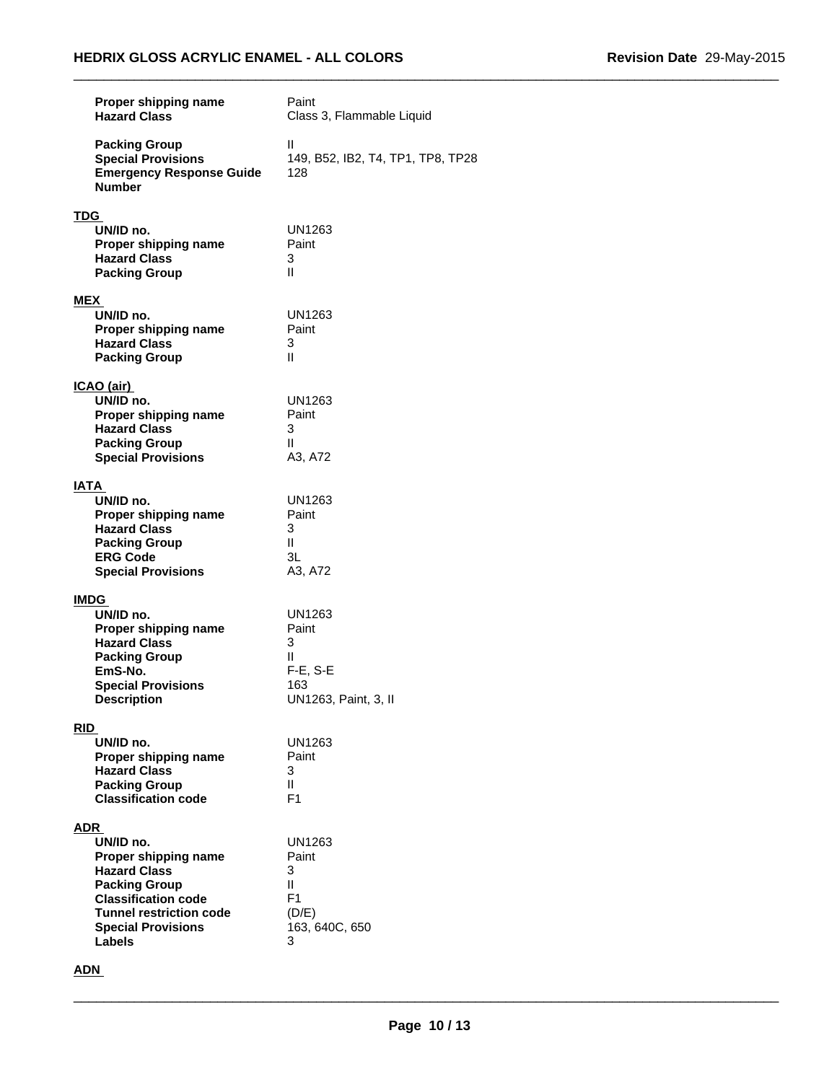| Proper shipping name<br><b>Hazard Class</b>                                                                                                                                                           | Paint<br>Class 3, Flammable Liquid                                      |
|-------------------------------------------------------------------------------------------------------------------------------------------------------------------------------------------------------|-------------------------------------------------------------------------|
| <b>Packing Group</b><br><b>Special Provisions</b><br><b>Emergency Response Guide</b><br><b>Number</b>                                                                                                 | Ш<br>149, B52, IB2, T4, TP1, TP8, TP28<br>128                           |
| <b>TDG</b><br>UN/ID no.<br>Proper shipping name<br><b>Hazard Class</b><br><b>Packing Group</b>                                                                                                        | UN1263<br>Paint<br>3<br>Ш                                               |
| MEX<br>UN/ID no.<br>Proper shipping name<br><b>Hazard Class</b><br><b>Packing Group</b>                                                                                                               | <b>UN1263</b><br>Paint<br>3<br>Ш                                        |
| <u>ICAO (air)</u><br>UN/ID no.<br>Proper shipping name<br><b>Hazard Class</b><br><b>Packing Group</b><br><b>Special Provisions</b>                                                                    | <b>UN1263</b><br>Paint<br>3<br>Ш<br>A3, A72                             |
| <b>IATA</b><br>UN/ID no.<br>Proper shipping name<br><b>Hazard Class</b><br><b>Packing Group</b><br><b>ERG Code</b><br><b>Special Provisions</b>                                                       | UN1263<br>Paint<br>3<br>Ш<br>3L<br>A3, A72                              |
| <b>IMDG</b><br>UN/ID no.<br>Proper shipping name<br><b>Hazard Class</b><br><b>Packing Group</b><br>EmS-No.<br><b>Special Provisions</b><br><b>Description</b>                                         | UN1263<br>Paint<br>3<br>Ш<br>$F-E$ , S-E<br>163<br>UN1263, Paint, 3, II |
| <b>RID</b><br>UN/ID no.<br>Proper shipping name<br><b>Hazard Class</b><br><b>Packing Group</b><br><b>Classification code</b>                                                                          | UN1263<br>Paint<br>3<br>$\mathbf{H}$<br>F <sub>1</sub>                  |
| <b>ADR</b><br>UN/ID no.<br>Proper shipping name<br><b>Hazard Class</b><br><b>Packing Group</b><br><b>Classification code</b><br><b>Tunnel restriction code</b><br><b>Special Provisions</b><br>Labels | UN1263<br>Paint<br>3<br>Ш<br>F1<br>(D/E)<br>163, 640C, 650<br>3         |

# **ADN**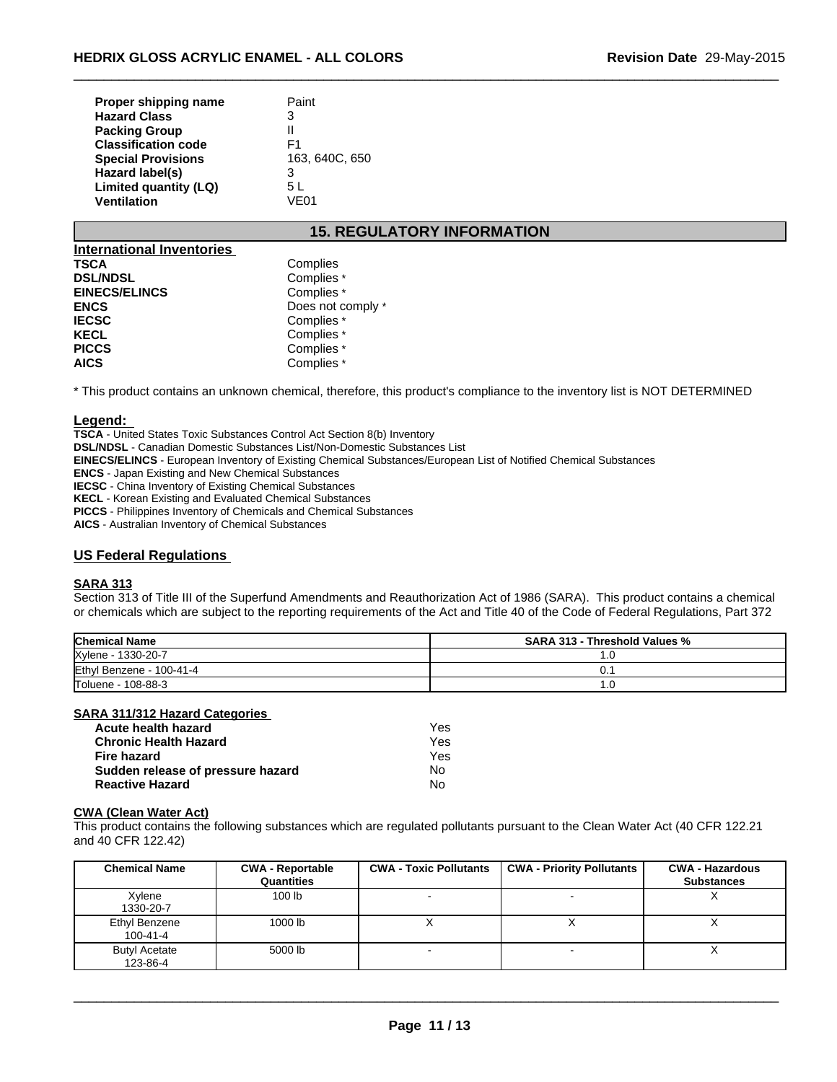| Proper shipping name       | Paint          |
|----------------------------|----------------|
| <b>Hazard Class</b>        | 3              |
| <b>Packing Group</b>       | Ш              |
| <b>Classification code</b> | F1             |
| <b>Special Provisions</b>  | 163, 640C, 650 |
| Hazard label(s)            | 3              |
| Limited quantity (LQ)      | 5 L            |
| <b>Ventilation</b>         | VF01           |

# **15. REGULATORY INFORMATION**

 $\_$  ,  $\_$  ,  $\_$  ,  $\_$  ,  $\_$  ,  $\_$  ,  $\_$  ,  $\_$  ,  $\_$  ,  $\_$  ,  $\_$  ,  $\_$  ,  $\_$  ,  $\_$  ,  $\_$  ,  $\_$  ,  $\_$  ,  $\_$  ,  $\_$  ,  $\_$  ,  $\_$  ,  $\_$  ,  $\_$  ,  $\_$  ,  $\_$  ,  $\_$  ,  $\_$  ,  $\_$  ,  $\_$  ,  $\_$  ,  $\_$  ,  $\_$  ,  $\_$  ,  $\_$  ,  $\_$  ,  $\_$  ,  $\_$  ,

| International Inventories |                   |
|---------------------------|-------------------|
| <b>TSCA</b>               | Complies          |
| <b>DSL/NDSL</b>           | Complies *        |
| <b>EINECS/ELINCS</b>      | Complies *        |
| <b>ENCS</b>               | Does not comply * |
| <b>IECSC</b>              | Complies *        |
| <b>KECL</b>               | Complies *        |
| <b>PICCS</b>              | Complies *        |
| <b>AICS</b>               | Complies *        |

\* This product contains an unknown chemical, therefore, this product's compliance to the inventory list is NOT DETERMINED

#### **Legend:**

**TSCA** - United States Toxic Substances Control Act Section 8(b) Inventory **DSL/NDSL** - Canadian Domestic Substances List/Non-Domestic Substances List **EINECS/ELINCS** - European Inventory of Existing Chemical Substances/European List of Notified Chemical Substances **ENCS** - Japan Existing and New Chemical Substances **IECSC** - China Inventory of Existing Chemical Substances **KECL** - Korean Existing and Evaluated Chemical Substances **PICCS** - Philippines Inventory of Chemicals and Chemical Substances **AICS** - Australian Inventory of Chemical Substances

#### **US Federal Regulations**

#### **SARA 313**

Section 313 of Title III of the Superfund Amendments and Reauthorization Act of 1986 (SARA). This product contains a chemical or chemicals which are subject to the reporting requirements of the Act and Title 40 of the Code of Federal Regulations, Part 372

| <b>Chemical Name</b>     | <b>SARA 313 - Threshold Values %</b> |
|--------------------------|--------------------------------------|
| Xylene - 1330-20-7       | . . U                                |
| Ethyl Benzene - 100-41-4 | υ.                                   |
| Toluene - 108-88-3       | U                                    |

#### **SARA 311/312 Hazard Categories**

| Acute health hazard               | Yes |
|-----------------------------------|-----|
| <b>Chronic Health Hazard</b>      | Yes |
| Fire hazard                       | Yes |
| Sudden release of pressure hazard | No. |
| <b>Reactive Hazard</b>            | No  |

#### **CWA (Clean Water Act)**

This product contains the following substances which are regulated pollutants pursuant to the Clean Water Act (40 CFR 122.21 and 40 CFR 122.42)

| <b>Chemical Name</b>             | <b>CWA - Reportable</b><br>Quantities | <b>CWA - Toxic Pollutants</b> | <b>CWA - Priority Pollutants</b> | <b>CWA - Hazardous</b><br><b>Substances</b> |
|----------------------------------|---------------------------------------|-------------------------------|----------------------------------|---------------------------------------------|
| Xylene<br>1330-20-7              | 100 lb                                |                               |                                  | $\lambda$                                   |
| Ethyl Benzene<br>$100 - 41 - 4$  | 1000 lb                               |                               |                                  |                                             |
| <b>Butyl Acetate</b><br>123-86-4 | 5000 lb                               |                               |                                  |                                             |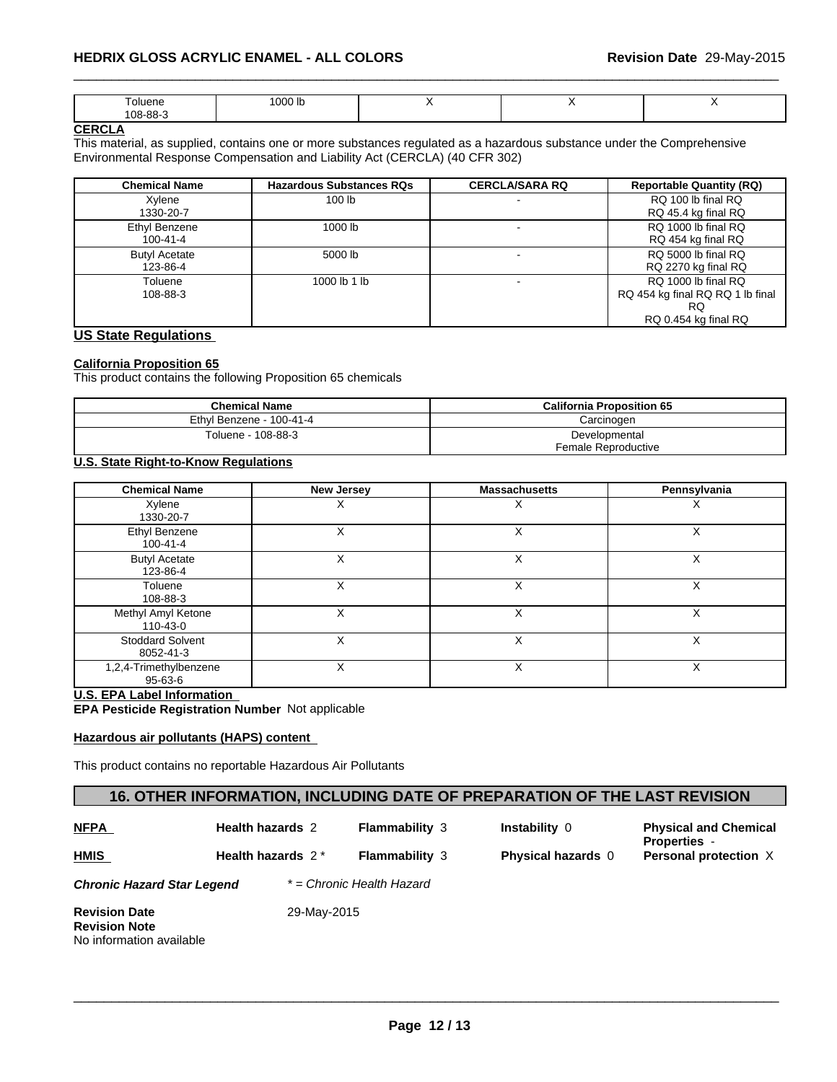| ~''<br>.<br>.<br>$\circ$ $\circ$<br>$'$ $0R$ - $R$<br>oc. | 0.001<br>.JOO ID -<br>. |  |  |  |
|-----------------------------------------------------------|-------------------------|--|--|--|
|-----------------------------------------------------------|-------------------------|--|--|--|

#### **CERCLA**

This material, as supplied, contains one or more substances regulated as a hazardous substance under the Comprehensive Environmental Response Compensation and Liability Act (CERCLA) (40 CFR 302)

| <b>Chemical Name</b>             | <b>Hazardous Substances RQs</b> | <b>CERCLA/SARA RQ</b> | <b>Reportable Quantity (RQ)</b>                                                       |
|----------------------------------|---------------------------------|-----------------------|---------------------------------------------------------------------------------------|
| Xylene<br>1330-20-7              | 100 <sub>lb</sub>               |                       | RQ 100 lb final RQ<br>RQ 45.4 kg final RQ                                             |
| Ethyl Benzene<br>100-41-4        | 1000 lb                         |                       | RQ 1000 lb final RQ<br>RQ 454 kg final RQ                                             |
| <b>Butyl Acetate</b><br>123-86-4 | 5000 lb                         |                       | RQ 5000 lb final RQ<br>RQ 2270 kg final RQ                                            |
| Toluene<br>108-88-3              | 1000 lb 1 lb                    |                       | RQ 1000 lb final RQ<br>RQ 454 kg final RQ RQ 1 lb final<br>RQ<br>RQ 0.454 kg final RQ |

#### **US State Regulations**

#### **California Proposition 65**

This product contains the following Proposition 65 chemicals

| <b>Chemical Name</b>     | <b>California Proposition 65</b> |
|--------------------------|----------------------------------|
| Ethyl Benzene - 100-41-4 | Carcinoɑen                       |
| Toluene - 108-88-3       | Developmental                    |
|                          | Female Reproductive              |

#### **U.S. State Right-to-Know Regulations**

| <b>Chemical Name</b>                                                                                                             | <b>New Jersey</b>       |                       | <b>Massachusetts</b>                                                      | Pennsylvania                                        |
|----------------------------------------------------------------------------------------------------------------------------------|-------------------------|-----------------------|---------------------------------------------------------------------------|-----------------------------------------------------|
| Xylene<br>1330-20-7                                                                                                              | X                       |                       | X                                                                         | х                                                   |
| Ethyl Benzene<br>$100 - 41 - 4$                                                                                                  | X                       |                       | X                                                                         | X                                                   |
| <b>Butyl Acetate</b><br>123-86-4                                                                                                 | X                       |                       | X                                                                         | X                                                   |
| Toluene<br>108-88-3                                                                                                              | X                       |                       | X                                                                         | X                                                   |
| Methyl Amyl Ketone<br>110-43-0                                                                                                   | X                       |                       | X                                                                         | X                                                   |
| <b>Stoddard Solvent</b><br>8052-41-3                                                                                             | X                       |                       | X                                                                         | X                                                   |
| 1,2,4-Trimethylbenzene<br>$95 - 63 - 6$                                                                                          | X                       |                       | X                                                                         | X                                                   |
| <b>U.S. EPA Label Information</b><br>EPA Pesticide Registration Number Not applicable<br>Hazardous air pollutants (HAPS) content |                         |                       |                                                                           |                                                     |
| This product contains no reportable Hazardous Air Pollutants                                                                     |                         |                       |                                                                           |                                                     |
|                                                                                                                                  |                         |                       | 16. OTHER INFORMATION, INCLUDING DATE OF PREPARATION OF THE LAST REVISION |                                                     |
| <b>NFPA</b>                                                                                                                      | <b>Health hazards 2</b> | <b>Flammability 3</b> | Instability 0                                                             | <b>Physical and Chemical</b><br><b>Properties -</b> |
| HMIS                                                                                                                             | Health hazards $2*$     | Flammability 3        | Physical hazards $\cap$                                                   | Personal protection X                               |

#### **U.S. EPA Label Information**

#### **Hazardous air pollutants (HAPS) content**

| <b>NFPA</b> |  |
|-------------|--|
| <b>HMIS</b> |  |

**Flammability** 3 **Instability** 0 **Physical and Chemical Properties** - **Flammability** 3 **Physical hazards** 0 **Personal protection** X

*Chronic Hazard Star Legend \* = Chronic Health Hazard*

Health hazards  $2^*$  Flammability 3

**Revision Date** 29-May-2015 **Revision Note** No information available